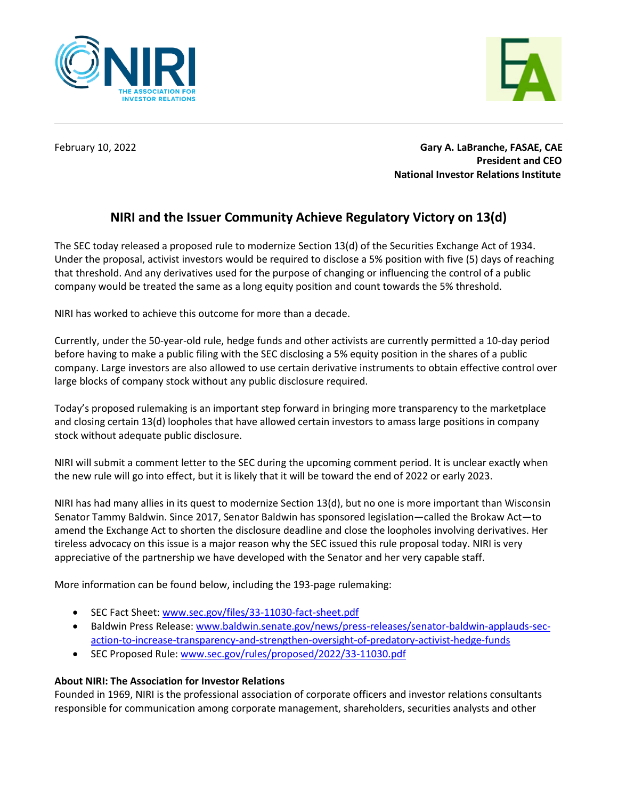



February 10, 2022 **Gary A. LaBranche, FASAE, CAE President and CEO National Investor Relations Institute**

## **NIRI and the Issuer Community Achieve Regulatory Victory on 13(d)**

The SEC today released a proposed rule to modernize Section 13(d) of the Securities Exchange Act of 1934. Under the proposal, activist investors would be required to disclose a 5% position with five (5) days of reaching that threshold. And any derivatives used for the purpose of changing or influencing the control of a public company would be treated the same as a long equity position and count towards the 5% threshold.

NIRI has worked to achieve this outcome for more than a decade.

Currently, under the 50-year-old rule, hedge funds and other activists are currently permitted a 10-day period before having to make a public filing with the SEC disclosing a 5% equity position in the shares of a public company. Large investors are also allowed to use certain derivative instruments to obtain effective control over large blocks of company stock without any public disclosure required.

Today's proposed rulemaking is an important step forward in bringing more transparency to the marketplace and closing certain 13(d) loopholes that have allowed certain investors to amass large positions in company stock without adequate public disclosure.

NIRI will submit a comment letter to the SEC during the upcoming comment period. It is unclear exactly when the new rule will go into effect, but it is likely that it will be toward the end of 2022 or early 2023.

NIRI has had many allies in its quest to modernize Section 13(d), but no one is more important than Wisconsin Senator Tammy Baldwin. Since 2017, Senator Baldwin has sponsored legislation—called the Brokaw Act—to amend the Exchange Act to shorten the disclosure deadline and close the loopholes involving derivatives. Her tireless advocacy on this issue is a major reason why the SEC issued this rule proposal today. NIRI is very appreciative of the partnership we have developed with the Senator and her very capable staff.

More information can be found below, including the 193-page rulemaking:

- SEC Fact Sheet: [www.sec.gov/files/33-11030-fact-sheet.pdf](http://www.sec.gov/files/33-11030-fact-sheet.pdf)
- Baldwin Press Release: [www.baldwin.senate.gov/news/press-releases/senator-baldwin-applauds-sec](http://www.baldwin.senate.gov/news/press-releases/senator-baldwin-applauds-sec-action-to-increase-transparency-and-strengthen-oversight-of-predatory-activist-hedge-funds)[action-to-increase-transparency-and-strengthen-oversight-of-predatory-activist-hedge-funds](http://www.baldwin.senate.gov/news/press-releases/senator-baldwin-applauds-sec-action-to-increase-transparency-and-strengthen-oversight-of-predatory-activist-hedge-funds)
- SEC Proposed Rule: [www.sec.gov/rules/proposed/2022/33-11030.pdf](http://www.sec.gov/rules/proposed/2022/33-11030.pdf)

## **About NIRI: The Association for Investor Relations**

Founded in 1969, NIRI is the professional association of corporate officers and investor relations consultants responsible for communication among corporate management, shareholders, securities analysts and other